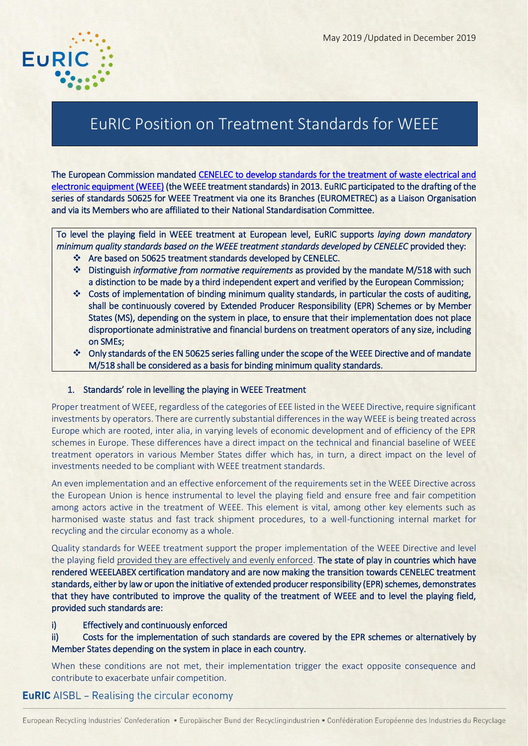

ī

# EuRIC Position on Treatment Standards for WEEE

The European Commission mandated [CENELEC to develop standards for the treatment of waste electrical and](http://ec.europa.eu/environment/waste/weee/pdf/m518%20EN.pdf)  [electronic equipment \(WEEE\)](http://ec.europa.eu/environment/waste/weee/pdf/m518%20EN.pdf) (the WEEE treatment standards) in 2013. EuRIC participated to the drafting of the series of standards 50625 for WEEE Treatment via one its Branches (EUROMETREC) as a Liaison Organisation and via its Members who are affiliated to their National Standardisation Committee.

To level the playing field in WEEE treatment at European level, EuRIC supports *laying down mandatory minimum quality standards based on the WEEE treatment standards developed by CENELEC* provided they:

- Are based on 50625 treatment standards developed by CENELEC.
- Distinguish *informative from normative requirements* as provided by the mandate M/518 with such a distinction to be made by a third independent expert and verified by the European Commission;
- Costs of implementation of binding minimum quality standards, in particular the costs of auditing, shall be continuously covered by Extended Producer Responsibility (EPR) Schemes or by Member States (MS), depending on the system in place, to ensure that their implementation does not place disproportionate administrative and financial burdens on treatment operators of any size, including on SMEs;
- Only standards of the EN 50625 series falling under the scope of the WEEE Directive and of mandate M/518 shall be considered as a basis for binding minimum quality standards.

#### 1. Standards' role in levelling the playing in WEEE Treatment

Proper treatment of WEEE, regardless of the categories of EEE listed in the WEEE Directive, require significant investments by operators. There are currently substantial differences in the way WEEE is being treated across Europe which are rooted, inter alia, in varying levels of economic development and of efficiency of the EPR schemes in Europe. These differences have a direct impact on the technical and financial baseline of WEEE treatment operators in various Member States differ which has, in turn, a direct impact on the level of investments needed to be compliant with WEEE treatment standards.

An even implementation and an effective enforcement of the requirements set in the WEEE Directive across the European Union is hence instrumental to level the playing field and ensure free and fair competition among actors active in the treatment of WEEE. This element is vital, among other key elements such as harmonised waste status and fast track shipment procedures, to a well-functioning internal market for recycling and the circular economy as a whole.

Quality standards for WEEE treatment support the proper implementation of the WEEE Directive and level the playing field provided they are effectively and evenly enforced. The state of play in countries which have rendered WEEELABEX certification mandatory and are now making the transition towards CENELEC treatment standards, either by law or upon the initiative of extended producer responsibility (EPR) schemes, demonstrates that they have contributed to improve the quality of the treatment of WEEE and to level the playing field, provided such standards are:

#### i) Effectively and continuously enforced

ii) Costs for the implementation of such standards are covered by the EPR schemes or alternatively by Member States depending on the system in place in each country.

When these conditions are not met, their implementation trigger the exact opposite consequence and contribute to exacerbate unfair competition.

## **EuRIC** AISBL – Realising the circular economy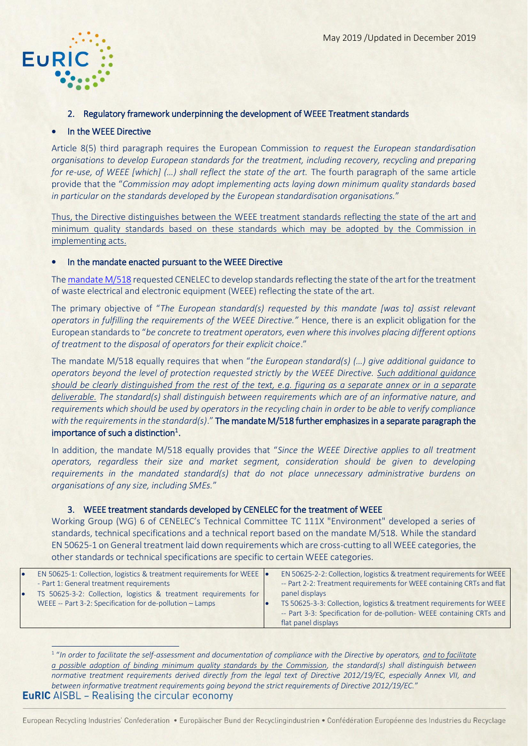

.<br>-

#### 2. Regulatory framework underpinning the development of WEEE Treatment standards

#### In the WEEE Directive

Article 8(5) third paragraph requires the European Commission *to request the European standardisation organisations to develop European standards for the treatment, including recovery, recycling and preparing for re-use, of WEEE [which] (…) shall reflect the state of the art.* The fourth paragraph of the same article provide that the "*Commission may adopt implementing acts laying down minimum quality standards based in particular on the standards developed by the European standardisation organisations.*"

Thus, the Directive distinguishes between the WEEE treatment standards reflecting the state of the art and minimum quality standards based on these standards which may be adopted by the Commission in implementing acts.

#### In the mandate enacted pursuant to the WEEE Directive

Th[e mandate M/518](http://ec.europa.eu/environment/waste/weee/pdf/m518%20EN.pdf) requested CENELEC to develop standards reflecting the state of the art for the treatment of waste electrical and electronic equipment (WEEE) reflecting the state of the art.

The primary objective of "*The European standard(s) requested by this mandate [was to] assist relevant operators in fulfilling the requirements of the WEEE Directive."* Hence, there is an explicit obligation for the European standards to "*be concrete to treatment operators, even where this involves placing different options of treatment to the disposal of operators for their explicit choice*."

The mandate M/518 equally requires that when "*the European standard(s) (…) give additional guidance to operators beyond the level of protection requested strictly by the WEEE Directive. Such additional guidance should be clearly distinguished from the rest of the text, e.g. figuring as a separate annex or in a separate deliverable. The standard(s) shall distinguish between requirements which are of an informative nature, and requirements which should be used by operators in the recycling chain in order to be able to verify compliance with the requirements in the standard(s)*." The mandate M/518 further emphasizes in a separate paragraph the importance of such a distinction<sup>1</sup>.

In addition, the mandate M/518 equally provides that "*Since the WEEE Directive applies to all treatment operators, regardless their size and market segment, consideration should be given to developing requirements in the mandated standard(s) that do not place unnecessary administrative burdens on organisations of any size, including SMEs.*"

## 3. WEEE treatment standards developed by CENELEC for the treatment of WEEE

Working Group (WG) 6 of CENELEC's Technical Committee TC 111X "Environment" developed a series of standards, technical specifications and a technical report based on the mandate M/518. While the standard EN 50625-1 on General treatment laid down requirements which are cross-cutting to all WEEE categories, the other standards or technical specifications are specific to certain WEEE categories.

| $\bullet$ | EN 50625-1: Collection, logistics & treatment requirements for WEEE  .<br>- Part 1: General treatment requirements           | EN 50625-2-2: Collection, logistics & treatment requirements for WEEE<br>-- Part 2-2: Treatment requirements for WEEE containing CRTs and flat                                          |
|-----------|------------------------------------------------------------------------------------------------------------------------------|-----------------------------------------------------------------------------------------------------------------------------------------------------------------------------------------|
| 10        | TS 50625-3-2: Collection, logistics & treatment requirements for<br>WEEE -- Part 3-2: Specification for de-pollution - Lamps | panel displays<br>TS 50625-3-3: Collection, logistics & treatment requirements for WEEE<br>-- Part 3-3: Specification for de-pollution- WEEE containing CRTs and<br>flat panel displays |

<sup>1</sup> "In order to facilitate the self-assessment and documentation of compliance with the Directive by operators, <u>and to facilitate</u> *a possible adoption of binding minimum quality standards by the Commission, the standard(s) shall distinguish between normative treatment requirements derived directly from the legal text of Directive 2012/19/EC, especially Annex VII, and between informative treatment requirements going beyond the strict requirements of Directive 2012/19/EC.*"**EuRIC** AISBL – Realising the circular economy

European Recycling Industries' Confederation · Europäischer Bund der Recyclingindustrien · Confédération Européenne des Industries du Recyclage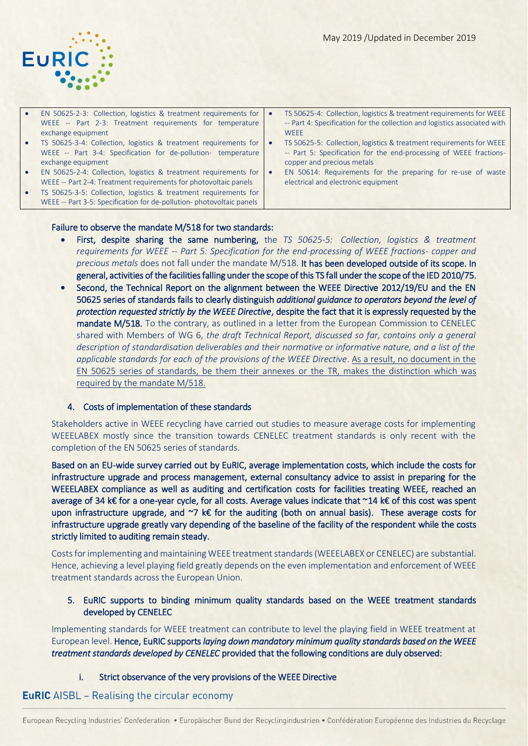- EN 50625-2-3: Collection, logistics & treatment requirements for WEEE -- Part 2-3: Treatment requirements for temperature exchange equipment
- TS 50625-3-4: Collection, logistics & treatment requirements for WEEE -- Part 3-4: Specification for de-pollution- temperature exchange equipment
- EN 50625-2-4: Collection, logistics & treatment requirements for WEEE -- Part 2-4: Treatment requirements for photovoltaic panels
- TS 50625-3-5: Collection, logistics & treatment requirements for WEEE -- Part 3-5: Specification for de-pollution- photovoltaic panels
- TS 50625-4: Collection, logistics & treatment requirements for WEEE -- Part 4: Specification for the collection and logistics associated with **WEEE**
- TS 50625-5: Collection, logistics & treatment requirements for WEEE -- Part 5: Specification for the end-processing of WEEE fractionscopper and precious metals
- EN 50614: Requirements for the preparing for re-use of waste electrical and electronic equipment

#### Failure to observe the mandate M/518 for two standards:

- First, despite sharing the same numbering, the *TS 50625-5: Collection, logistics & treatment requirements for WEEE -- Part 5: Specification for the end-processing of WEEE fractions- copper and precious metals* does not fall under the mandate M/518. It has been developed outside of its scope. In general, activities of the facilities falling under the scope of this TS fall under the scope of the IED 2010/75.
- Second, the Technical Report on the alignment between the WEEE Directive 2012/19/EU and the EN 50625 series of standards fails to clearly distinguish *additional guidance to operators beyond the level of protection requested strictly by the WEEE Directive*, despite the fact that it is expressly requested by the mandate M/518. To the contrary, as outlined in a letter from the European Commission to CENELEC shared with Members of WG 6, *the draft Technical Report, discussed so far, contains only a general description of standardisation deliverables and their normative or informative nature, and a list of the applicable standards for each of the provisions of the WEEE Directive*. As a result, no document in the EN 50625 series of standards, be them their annexes or the TR, makes the distinction which was required by the mandate M/518.

#### 4. Costs of implementation of these standards

Stakeholders active in WEEE recycling have carried out studies to measure average costs for implementing WEEELABEX mostly since the transition towards CENELEC treatment standards is only recent with the completion of the EN 50625 series of standards.

Based on an EU-wide survey carried out by EuRIC, average implementation costs, which include the costs for infrastructure upgrade and process management, external consultancy advice to assist in preparing for the WEEELABEX compliance as well as auditing and certification costs for facilities treating WEEE, reached an average of 34 k€ for a one-year cycle, for all costs. Average values indicate that ~14 k€ of this cost was spent upon infrastructure upgrade, and ~7 k€ for the auditing (both on annual basis). These average costs for infrastructure upgrade greatly vary depending of the baseline of the facility of the respondent while the costs strictly limited to auditing remain steady.

Costs for implementing and maintaining WEEE treatment standards (WEEELABEX or CENELEC) are substantial. Hence, achieving a level playing field greatly depends on the even implementation and enforcement of WEEE treatment standards across the European Union.

5. EuRIC supports to binding minimum quality standards based on the WEEE treatment standards developed by CENELEC

Implementing standards for WEEE treatment can contribute to level the playing field in WEEE treatment at European level. Hence, EuRIC supports *laying down mandatory minimum quality standards based on the WEEE treatment standards developed by CENELEC* provided that the following conditions are duly observed:

i. Strict observance of the very provisions of the WEEE Directive

#### **EuRIC** AISBL – Realising the circular economy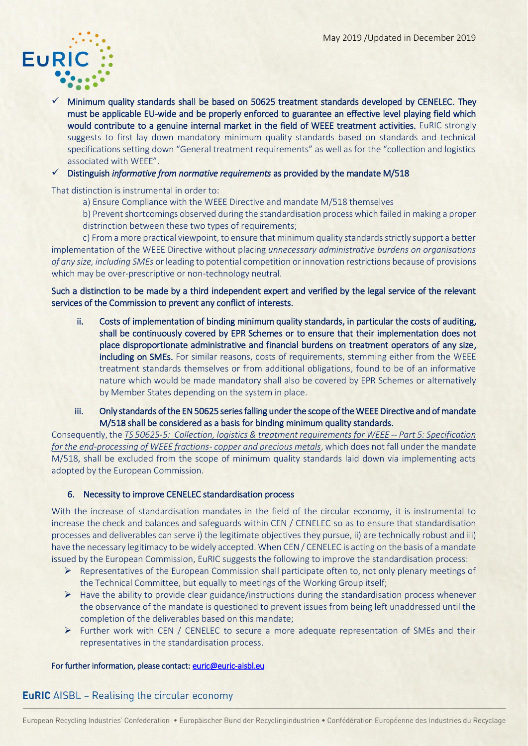

 $\checkmark$  Minimum quality standards shall be based on 50625 treatment standards developed by CENELEC. They must be applicable EU-wide and be properly enforced to guarantee an effective level playing field which would contribute to a genuine internal market in the field of WEEE treatment activities. EuRIC strongly suggests to first lay down mandatory minimum quality standards based on standards and technical specifications setting down "General treatment requirements" as well as for the "collection and logistics associated with WEEE".

#### Distinguish *informative from normative requirements* as provided by the mandate M/518

That distinction is instrumental in order to:

a) Ensure Compliance with the WEEE Directive and mandate M/518 themselves

b) Prevent shortcomings observed during the standardisation process which failed in making a proper distrinction between these two types of requirements;

c) From a more practical viewpoint, to ensure that minimum quality standards strictly support a better implementation of the WEEE Directive without placing *unnecessary administrative burdens on organisations of any size, including SMEs* or leading to potential competition or innovation restrictions because of provisions which may be over-prescriptive or non-technology neutral.

## Such a distinction to be made by a third independent expert and verified by the legal service of the relevant services of the Commission to prevent any conflict of interests.

- ii. Costs of implementation of binding minimum quality standards, in particular the costs of auditing, shall be continuously covered by EPR Schemes or to ensure that their implementation does not place disproportionate administrative and financial burdens on treatment operators of any size, including on SMEs. For similar reasons, costs of requirements, stemming either from the WEEE treatment standards themselves or from additional obligations, found to be of an informative nature which would be made mandatory shall also be covered by EPR Schemes or alternatively by Member States depending on the system in place.
- iii. Only standards of the EN 50625 series falling under the scope of the WEEE Directive and of mandate M/518 shall be considered as a basis for binding minimum quality standards.

Consequently, the *TS 50625-5: Collection, logistics & treatment requirements for WEEE -- Part 5: Specification for the end-processing of WEEE fractions- copper and precious metals*, which does not fall under the mandate M/518, shall be excluded from the scope of minimum quality standards laid down via implementing acts adopted by the European Commission.

## 6. Necessity to improve CENELEC standardisation process

With the increase of standardisation mandates in the field of the circular economy, it is instrumental to increase the check and balances and safeguards within CEN / CENELEC so as to ensure that standardisation processes and deliverables can serve i) the legitimate objectives they pursue, ii) are technically robust and iii) have the necessary legitimacy to be widely accepted. When CEN / CENELEC is acting on the basis of a mandate issued by the European Commission, EuRIC suggests the following to improve the standardisation process:

- $\triangleright$  Representatives of the European Commission shall participate often to, not only plenary meetings of the Technical Committee, but equally to meetings of the Working Group itself;
- $\triangleright$  Have the ability to provide clear guidance/instructions during the standardisation process whenever the observance of the mandate is questioned to prevent issues from being left unaddressed until the completion of the deliverables based on this mandate;
- $\triangleright$  Further work with CEN / CENELEC to secure a more adequate representation of SMEs and their representatives in the standardisation process.

#### For further information, please contact: euric@euric-aisbl.eu

# **EuRIC** AISBL - Realising the circular economy